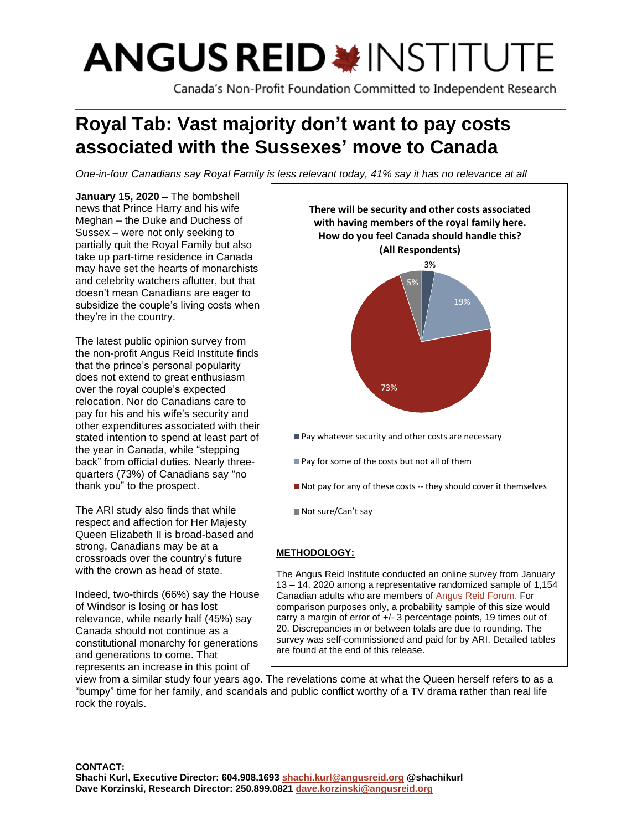# **ANGUS REID \* INSTITUTE**

Canada's Non-Profit Foundation Committed to Independent Research

# **Royal Tab: Vast majority don't want to pay costs associated with the Sussexes' move to Canada**

*One-in-four Canadians say Royal Family is less relevant today, 41% say it has no relevance at all*

**January 15, 2020 –** The bombshell news that Prince Harry and his wife Meghan – the Duke and Duchess of Sussex – were not only seeking to partially quit the Royal Family but also take up part-time residence in Canada may have set the hearts of monarchists and celebrity watchers aflutter, but that doesn't mean Canadians are eager to subsidize the couple's living costs when they're in the country.

The latest public opinion survey from the non-profit Angus Reid Institute finds that the prince's personal popularity does not extend to great enthusiasm over the royal couple's expected relocation. Nor do Canadians care to pay for his and his wife's security and other expenditures associated with their stated intention to spend at least part of the year in Canada, while "stepping back" from official duties. Nearly threequarters (73%) of Canadians say "no thank you" to the prospect.

The ARI study also finds that while respect and affection for Her Majesty Queen Elizabeth II is broad-based and strong, Canadians may be at a crossroads over the country's future with the crown as head of state.

Indeed, two-thirds (66%) say the House of Windsor is losing or has lost relevance, while nearly half (45%) say Canada should not continue as a constitutional monarchy for generations and generations to come. That represents an increase in this point of



carry a margin of error of +/- 3 percentage points, 19 times out of 20. Discrepancies in or between totals are due to rounding. The survey was self-commissioned and paid for by ARI. Detailed tables are found at the end of this release.

view from a similar study four years ago. The revelations come at what the Queen herself refers to as a "bumpy" time for her family, and scandals and public conflict worthy of a TV drama rather than real life rock the royals.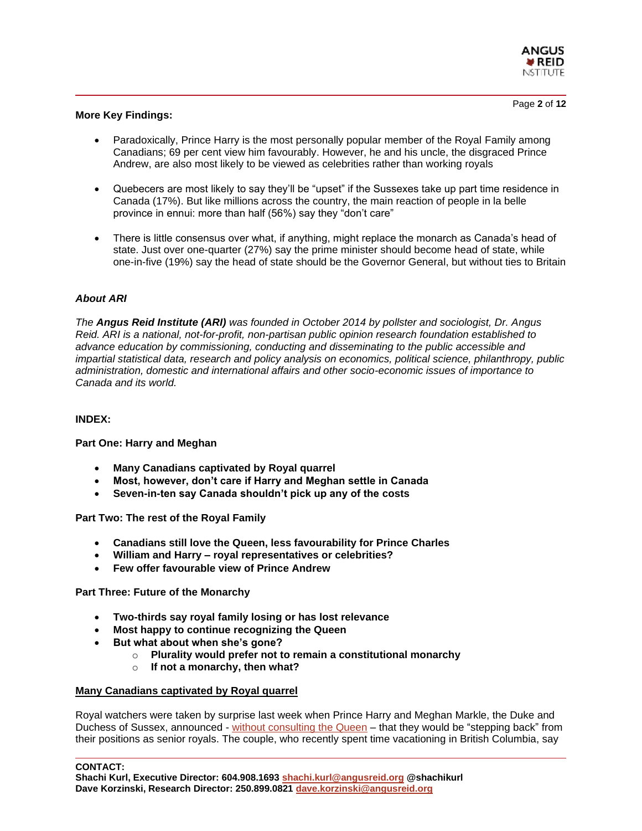

# **More Key Findings:**

- Paradoxically, Prince Harry is the most personally popular member of the Royal Family among Canadians; 69 per cent view him favourably. However, he and his uncle, the disgraced Prince Andrew, are also most likely to be viewed as celebrities rather than working royals
- Quebecers are most likely to say they'll be "upset" if the Sussexes take up part time residence in Canada (17%). But like millions across the country, the main reaction of people in la belle province in ennui: more than half (56%) say they "don't care"
- There is little consensus over what, if anything, might replace the monarch as Canada's head of state. Just over one-quarter (27%) say the prime minister should become head of state, while one-in-five (19%) say the head of state should be the Governor General, but without ties to Britain

### *About ARI*

*The Angus Reid Institute (ARI) was founded in October 2014 by pollster and sociologist, Dr. Angus Reid. ARI is a national, not-for-profit, non-partisan public opinion research foundation established to advance education by commissioning, conducting and disseminating to the public accessible and impartial statistical data, research and policy analysis on economics, political science, philanthropy, public administration, domestic and international affairs and other socio-economic issues of importance to Canada and its world.*

#### **INDEX:**

#### **Part One: Harry and Meghan**

- **Many Canadians captivated by Royal quarrel**
- **Most, however, don't care if Harry and Meghan settle in Canada**
- **Seven-in-ten say Canada shouldn't pick up any of the costs**

**Part Two: The rest of the Royal Family**

- **Canadians still love the Queen, less favourability for Prince Charles**
- **William and Harry – royal representatives or celebrities?**
- **Few offer favourable view of Prince Andrew**

**Part Three: Future of the Monarchy**

- **Two-thirds say royal family losing or has lost relevance**
- **Most happy to continue recognizing the Queen**
- **But what about when she's gone?**
	- o **Plurality would prefer not to remain a constitutional monarchy**
		- o **If not a monarchy, then what?**

#### **Many Canadians captivated by Royal quarrel**

Royal watchers were taken by surprise last week when Prince Harry and Meghan Markle, the Duke and Duchess of Sussex, announced - [without consulting the Queen](https://www.bbc.com/news/uk-51043220) – that they would be "stepping back" from their positions as senior royals. The couple, who recently spent time vacationing in British Columbia, say

**CONTACT:**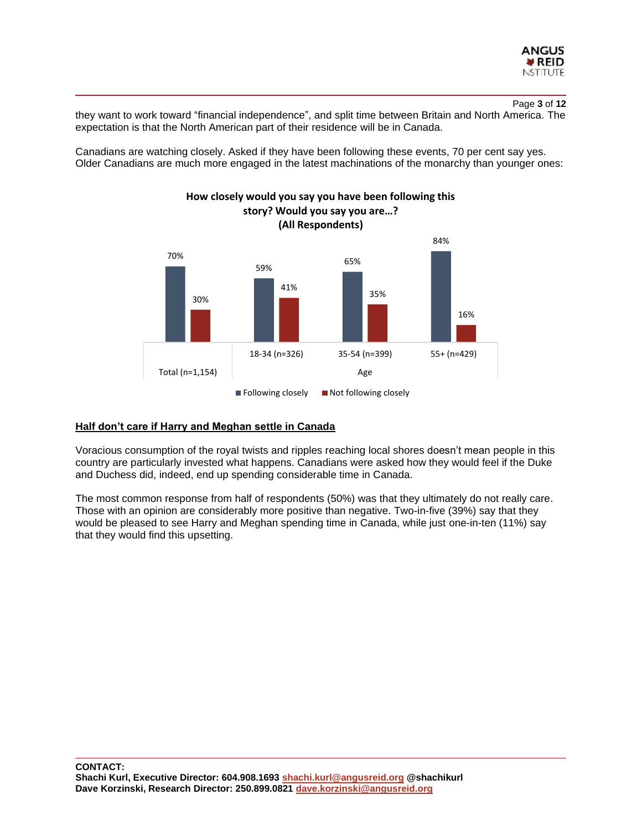

Page **3** of **12**

they want to work toward "financial independence", and split time between Britain and North America. The expectation is that the North American part of their residence will be in Canada.

Canadians are watching closely. Asked if they have been following these events, 70 per cent say yes. Older Canadians are much more engaged in the latest machinations of the monarchy than younger ones:



#### **Half don't care if Harry and Meghan settle in Canada**

Voracious consumption of the royal twists and ripples reaching local shores doesn't mean people in this country are particularly invested what happens. Canadians were asked how they would feel if the Duke and Duchess did, indeed, end up spending considerable time in Canada.

The most common response from half of respondents (50%) was that they ultimately do not really care. Those with an opinion are considerably more positive than negative. Two-in-five (39%) say that they would be pleased to see Harry and Meghan spending time in Canada, while just one-in-ten (11%) say that they would find this upsetting.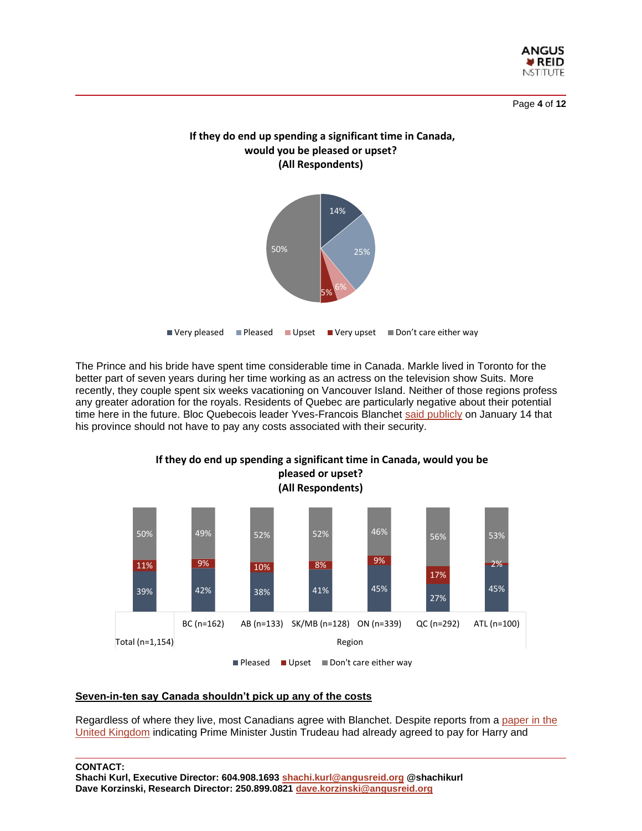

Page **4** of **12**



**If they do end up spending a significant time in Canada,** 

The Prince and his bride have spent time considerable time in Canada. Markle lived in Toronto for the better part of seven years during her time working as an actress on the television show Suits. More recently, they couple spent six weeks vacationing on Vancouver Island. Neither of those regions profess any greater adoration for the royals. Residents of Quebec are particularly negative about their potential time here in the future. Bloc Quebecois leader Yves-Francois Blanchet [said publicly](https://montreal.ctvnews.ca/quebecers-should-not-have-to-pay-anything-for-harry-and-meghan-bloc-leader-blanchet-says-1.4767355?utm_source=dlvr.it&utm_medium=twitter) on January 14 that his province should not have to pay any costs associated with their security.



#### **Seven-in-ten say Canada shouldn't pick up any of the costs**

Regardless of where they live, most Canadians agree with Blanchet. Despite reports from a [paper in the](https://www.standard.co.uk/news/uk/canada-security-bill-harry-meghan-justin-trudeau-a4332906.html)  [United Kingdom](https://www.standard.co.uk/news/uk/canada-security-bill-harry-meghan-justin-trudeau-a4332906.html) indicating Prime Minister Justin Trudeau had already agreed to pay for Harry and

**CONTACT:**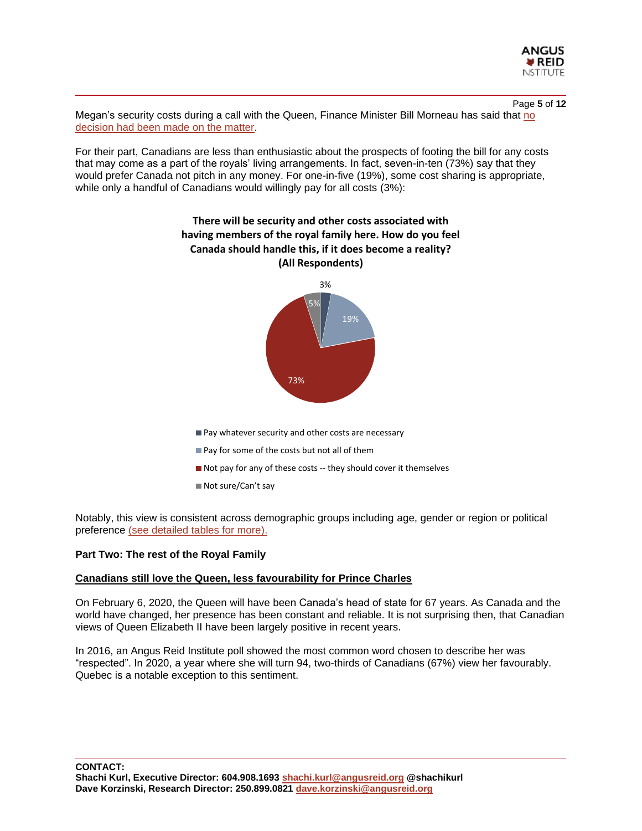

Page **5** of **12** Megan's security costs during a call with the Queen, Finance Minister Bill Morneau has said that no [decision had been made on the matter.](https://www.cbc.ca/news/politics/bill-morneau-security-costs-harry-meghan-1.5424988)

For their part, Canadians are less than enthusiastic about the prospects of footing the bill for any costs that may come as a part of the royals' living arrangements. In fact, seven-in-ten (73%) say that they would prefer Canada not pitch in any money. For one-in-five (19%), some cost sharing is appropriate, while only a handful of Canadians would willingly pay for all costs (3%):



- Pay for some of the costs but not all of them
- Not pay for any of these costs -- they should cover it themselves
- Not sure/Can't say

Notably, this view is consistent across demographic groups including age, gender or region or political preference [\(see detailed tables for more\).](http://angusreid.org/wp-content/uploads/2020/01/2020.01.14_Royals_Release_tables.pdf)

#### **Part Two: The rest of the Royal Family**

#### **Canadians still love the Queen, less favourability for Prince Charles**

On February 6, 2020, the Queen will have been Canada's head of state for 67 years. As Canada and the world have changed, her presence has been constant and reliable. It is not surprising then, that Canadian views of Queen Elizabeth II have been largely positive in recent years.

In 2016, an Angus Reid Institute poll showed the most common word chosen to describe her was "respected". In 2020, a year where she will turn 94, two-thirds of Canadians (67%) view her favourably. Quebec is a notable exception to this sentiment.

**CONTACT: Shachi Kurl, Executive Director: 604.908.1693 [shachi.kurl@angusreid.org](mailto:shachi.kurl@angusreid.org) @shachikurl Dave Korzinski, Research Director: 250.899.0821 [dave.korzinski@angusreid.org](mailto:dave.korzinski@angusreid.org)**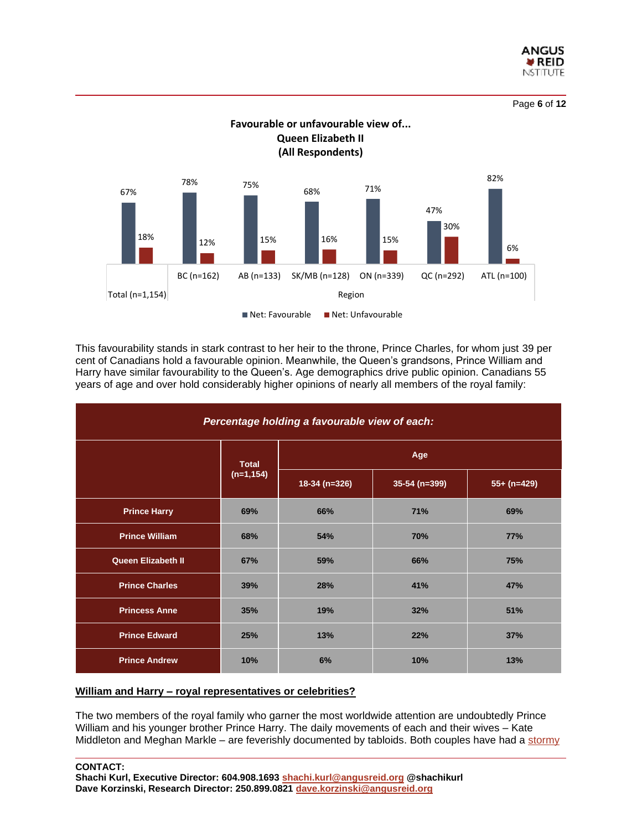

Page **6** of **12**



This favourability stands in stark contrast to her heir to the throne, Prince Charles, for whom just 39 per cent of Canadians hold a favourable opinion. Meanwhile, the Queen's grandsons, Prince William and Harry have similar favourability to the Queen's. Age demographics drive public opinion. Canadians 55 years of age and over hold considerably higher opinions of nearly all members of the royal family:

| Percentage holding a favourable view of each: |                              |               |               |               |  |
|-----------------------------------------------|------------------------------|---------------|---------------|---------------|--|
|                                               | <b>Total</b><br>$(n=1, 154)$ | Age           |               |               |  |
|                                               |                              | 18-34 (n=326) | 35-54 (n=399) | $55+ (n=429)$ |  |
| <b>Prince Harry</b>                           | 69%                          | 66%           | 71%           | 69%           |  |
| <b>Prince William</b>                         | 68%                          | 54%           | 70%           | 77%           |  |
| <b>Queen Elizabeth II</b>                     | 67%                          | 59%           | 66%           | 75%           |  |
| <b>Prince Charles</b>                         | 39%                          | 28%           | 41%           | 47%           |  |
| <b>Princess Anne</b>                          | 35%                          | 19%           | 32%           | 51%           |  |
| <b>Prince Edward</b>                          | 25%                          | 13%           | 22%           | 37%           |  |
| <b>Prince Andrew</b>                          | 10%                          | 6%            | 10%           | 13%           |  |

#### **William and Harry – royal representatives or celebrities?**

The two members of the royal family who garner the most worldwide attention are undoubtedly Prince William and his younger brother Prince Harry. The daily movements of each and their wives – Kate Middleton and Meghan Markle – are feverishly documented by tabloids. Both couples have had a [stormy](https://www.vox.com/the-goods/2019/10/3/20897491/prince-harry-and-meghan-markle-sue-tabloids)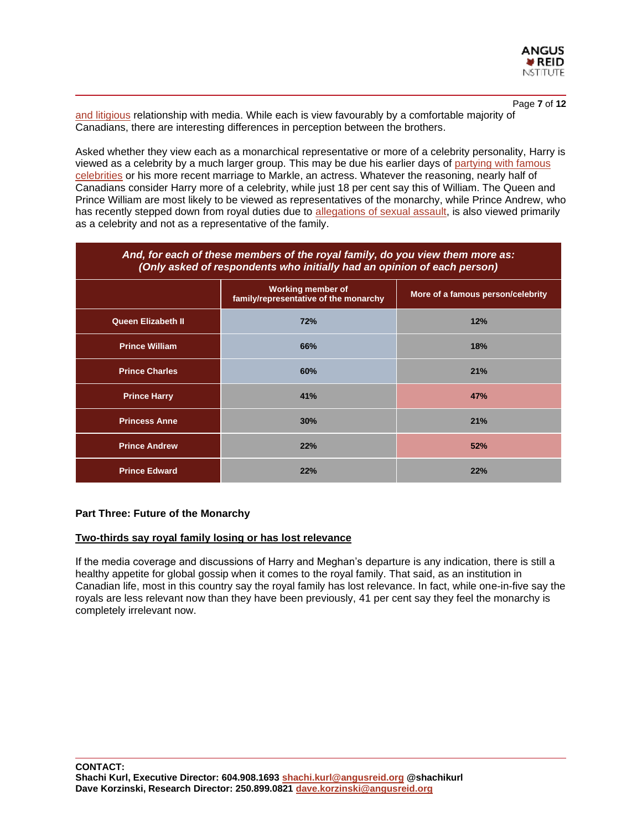

Page **7** of **12** [and litigious](https://www.vox.com/the-goods/2019/10/3/20897491/prince-harry-and-meghan-markle-sue-tabloids) relationship with media. While each is view favourably by a comfortable majority of Canadians, there are interesting differences in perception between the brothers.

Asked whether they view each as a monarchical representative or more of a celebrity personality, Harry is viewed as a celebrity by a much larger group. This may be due his earlier days of [partying with famous](https://www.biography.com/news/prince-harry-bachelor-days-girlfriends-photos)  [celebrities](https://www.biography.com/news/prince-harry-bachelor-days-girlfriends-photos) or his more recent marriage to Markle, an actress. Whatever the reasoning, nearly half of Canadians consider Harry more of a celebrity, while just 18 per cent say this of William. The Queen and Prince William are most likely to be viewed as representatives of the monarchy, while Prince Andrew, who has recently stepped down from royal duties due to [allegations of sexual assault,](https://www.aljazeera.com/news/2019/12/prince-andrew-alleged-sexual-assault-victim-seeks-uk-support-191203082657620.html) is also viewed primarily as a celebrity and not as a representative of the family.

| And, for each of these members of the royal family, do you view them more as:<br>(Only asked of respondents who initially had an opinion of each person) |                                                                   |                                   |  |  |
|----------------------------------------------------------------------------------------------------------------------------------------------------------|-------------------------------------------------------------------|-----------------------------------|--|--|
|                                                                                                                                                          | <b>Working member of</b><br>family/representative of the monarchy | More of a famous person/celebrity |  |  |
| <b>Queen Elizabeth II</b>                                                                                                                                | 72%                                                               | 12%                               |  |  |
| <b>Prince William</b>                                                                                                                                    | 66%                                                               | 18%                               |  |  |
| <b>Prince Charles</b>                                                                                                                                    | 60%                                                               | 21%                               |  |  |
| <b>Prince Harry</b>                                                                                                                                      | 41%                                                               | 47%                               |  |  |
| <b>Princess Anne</b>                                                                                                                                     | 30%                                                               | 21%                               |  |  |
| <b>Prince Andrew</b>                                                                                                                                     | 22%                                                               | 52%                               |  |  |
| <b>Prince Edward</b>                                                                                                                                     | 22%                                                               | 22%                               |  |  |

#### **Part Three: Future of the Monarchy**

#### **Two-thirds say royal family losing or has lost relevance**

If the media coverage and discussions of Harry and Meghan's departure is any indication, there is still a healthy appetite for global gossip when it comes to the royal family. That said, as an institution in Canadian life, most in this country say the royal family has lost relevance. In fact, while one-in-five say the royals are less relevant now than they have been previously, 41 per cent say they feel the monarchy is completely irrelevant now.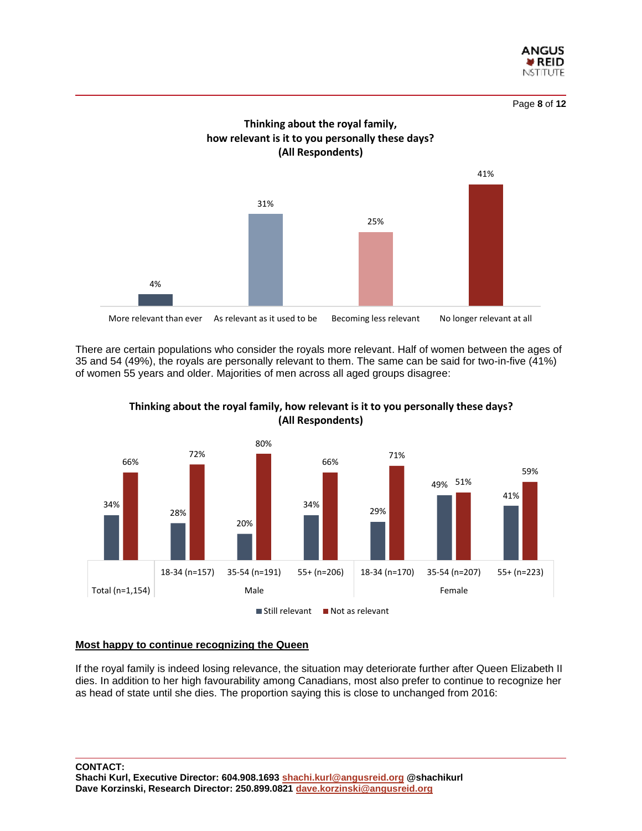





There are certain populations who consider the royals more relevant. Half of women between the ages of 35 and 54 (49%), the royals are personally relevant to them. The same can be said for two-in-five (41%) of women 55 years and older. Majorities of men across all aged groups disagree:





#### **Most happy to continue recognizing the Queen**

If the royal family is indeed losing relevance, the situation may deteriorate further after Queen Elizabeth II dies. In addition to her high favourability among Canadians, most also prefer to continue to recognize her as head of state until she dies. The proportion saying this is close to unchanged from 2016: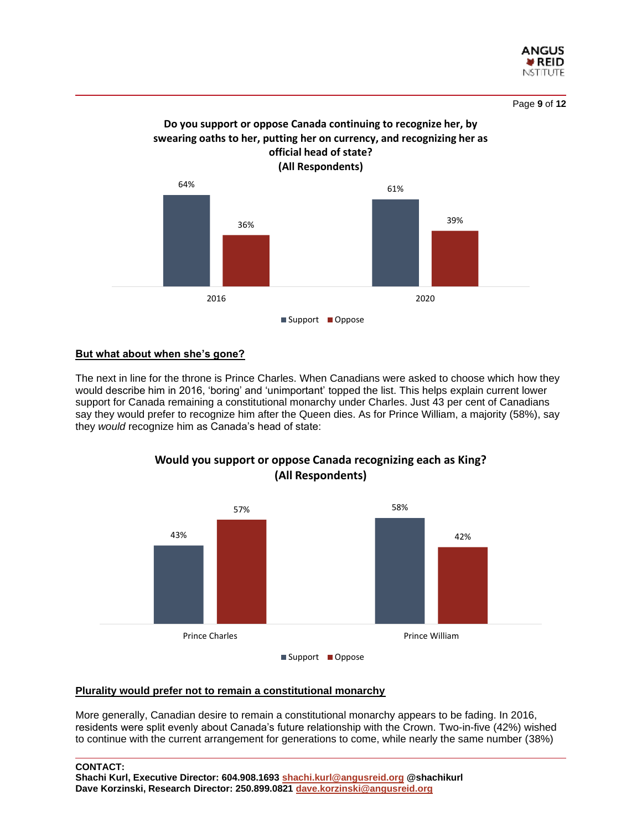



# **Do you support or oppose Canada continuing to recognize her, by swearing oaths to her, putting her on currency, and recognizing her as**

# **But what about when she's gone?**

The next in line for the throne is Prince Charles. When Canadians were asked to choose which how they would describe him in 2016, 'boring' and 'unimportant' topped the list. This helps explain current lower support for Canada remaining a constitutional monarchy under Charles. Just 43 per cent of Canadians say they would prefer to recognize him after the Queen dies. As for Prince William, a majority (58%), say they *would* recognize him as Canada's head of state:



# **Would you support or oppose Canada recognizing each as King? (All Respondents)**

#### **Plurality would prefer not to remain a constitutional monarchy**

More generally, Canadian desire to remain a constitutional monarchy appears to be fading. In 2016, residents were split evenly about Canada's future relationship with the Crown. Two-in-five (42%) wished to continue with the current arrangement for generations to come, while nearly the same number (38%)

<sup>■</sup> Support ■ Oppose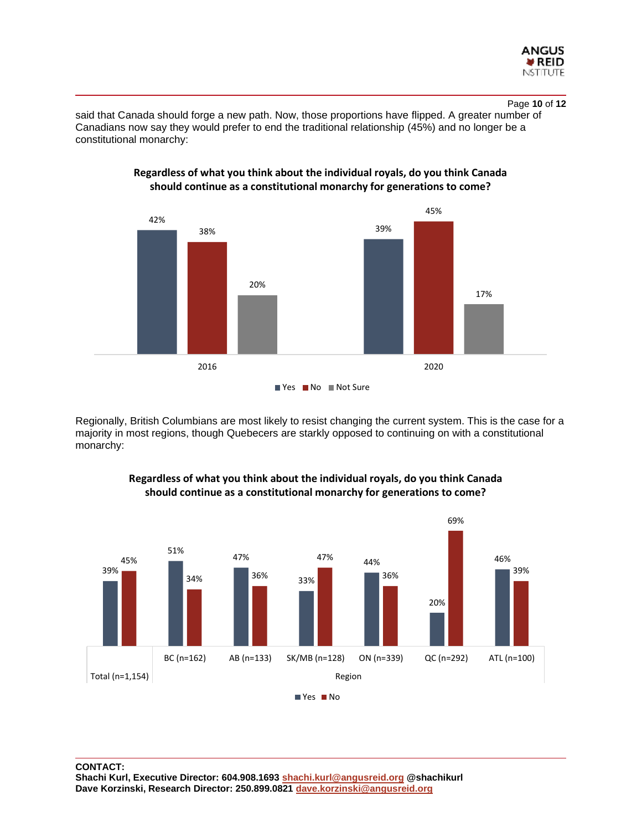

Page **10** of **12**

said that Canada should forge a new path. Now, those proportions have flipped. A greater number of Canadians now say they would prefer to end the traditional relationship (45%) and no longer be a constitutional monarchy:



**Regardless of what you think about the individual royals, do you think Canada should continue as a constitutional monarchy for generations to come?**

Regionally, British Columbians are most likely to resist changing the current system. This is the case for a majority in most regions, though Quebecers are starkly opposed to continuing on with a constitutional monarchy:



# **Regardless of what you think about the individual royals, do you think Canada should continue as a constitutional monarchy for generations to come?**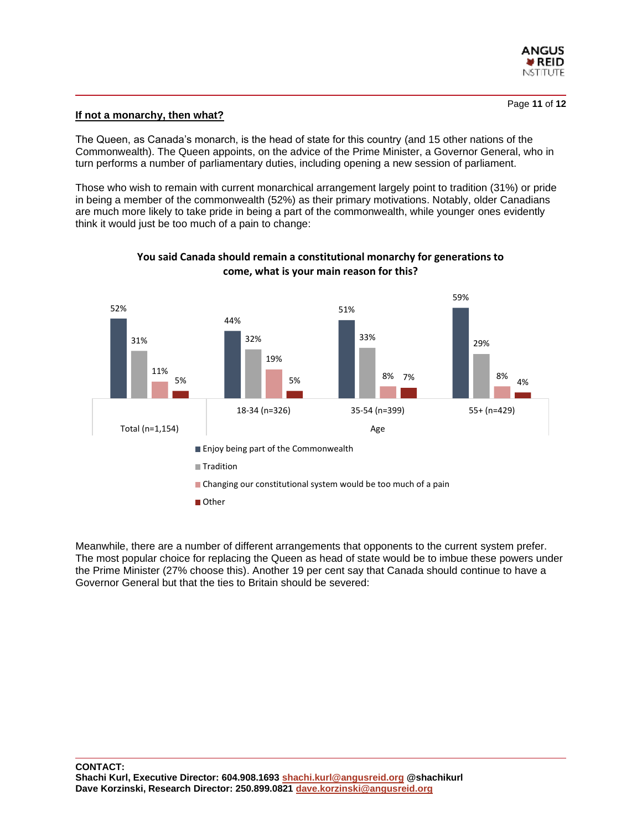

#### **If not a monarchy, then what?**

The Queen, as Canada's monarch, is the head of state for this country (and 15 other nations of the Commonwealth). The Queen appoints, on the advice of the Prime Minister, a Governor General, who in turn performs a number of parliamentary duties, including opening a new session of parliament.

Those who wish to remain with current monarchical arrangement largely point to tradition (31%) or pride in being a member of the commonwealth (52%) as their primary motivations. Notably, older Canadians are much more likely to take pride in being a part of the commonwealth, while younger ones evidently think it would just be too much of a pain to change:



## **You said Canada should remain a constitutional monarchy for generations to come, what is your main reason for this?**

Meanwhile, there are a number of different arrangements that opponents to the current system prefer. The most popular choice for replacing the Queen as head of state would be to imbue these powers under the Prime Minister (27% choose this). Another 19 per cent say that Canada should continue to have a Governor General but that the ties to Britain should be severed: